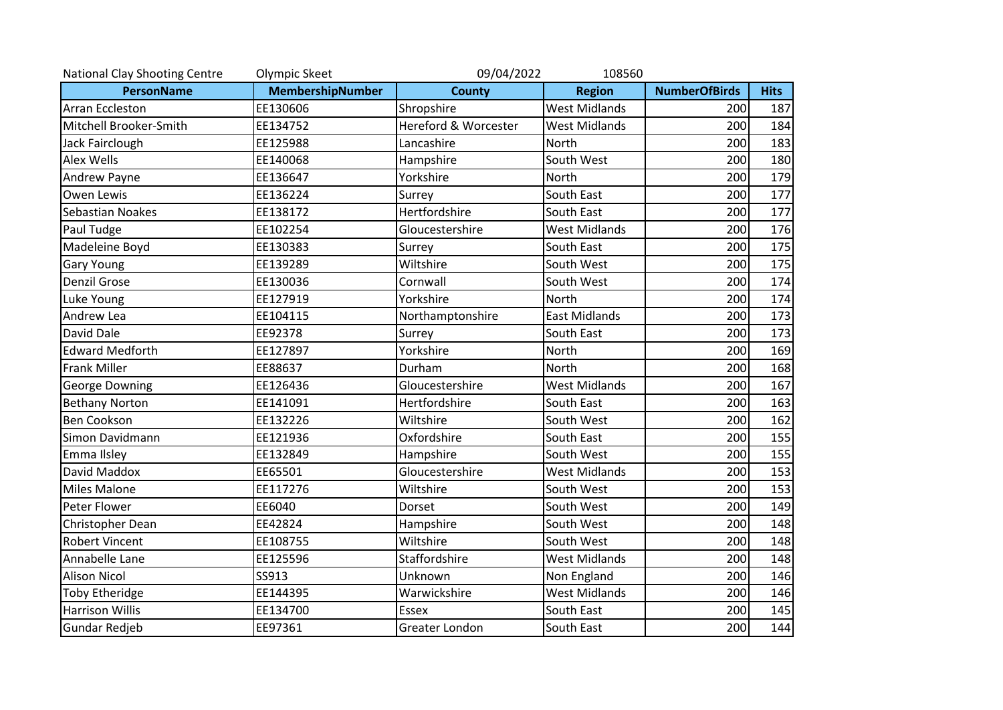| National Clay Shooting Centre | Olympic Skeet    | 09/04/2022<br>108560 |                      |                      |             |  |  |
|-------------------------------|------------------|----------------------|----------------------|----------------------|-------------|--|--|
| <b>PersonName</b>             | MembershipNumber | <b>County</b>        | <b>Region</b>        | <b>NumberOfBirds</b> | <b>Hits</b> |  |  |
| <b>Arran Eccleston</b>        | EE130606         | Shropshire           | <b>West Midlands</b> | 200                  | 187         |  |  |
| Mitchell Brooker-Smith        | EE134752         | Hereford & Worcester | <b>West Midlands</b> | 200                  | 184         |  |  |
| Jack Fairclough               | EE125988         | Lancashire           | North                | 200                  | 183         |  |  |
| <b>Alex Wells</b>             | EE140068         | Hampshire            | South West           | 200                  | 180         |  |  |
| Andrew Payne                  | EE136647         | Yorkshire            | North                | 200                  | 179         |  |  |
| Owen Lewis                    | EE136224         | Surrey               | South East           | 200                  | 177         |  |  |
| <b>Sebastian Noakes</b>       | EE138172         | Hertfordshire        | South East           | 200                  | 177         |  |  |
| Paul Tudge                    | EE102254         | Gloucestershire      | <b>West Midlands</b> | 200                  | 176         |  |  |
| Madeleine Boyd                | EE130383         | Surrey               | South East           | 200                  | 175         |  |  |
| <b>Gary Young</b>             | EE139289         | Wiltshire            | South West           | 200                  | 175         |  |  |
| <b>Denzil Grose</b>           | EE130036         | Cornwall             | South West           | 200                  | 174         |  |  |
| Luke Young                    | EE127919         | Yorkshire            | North                | 200                  | 174         |  |  |
| Andrew Lea                    | EE104115         | Northamptonshire     | <b>East Midlands</b> | 200                  | 173         |  |  |
| David Dale                    | EE92378          | Surrey               | South East           | 200                  | 173         |  |  |
| <b>Edward Medforth</b>        | EE127897         | Yorkshire            | North                | 200                  | 169         |  |  |
| <b>Frank Miller</b>           | EE88637          | Durham               | North                | 200                  | 168         |  |  |
| <b>George Downing</b>         | EE126436         | Gloucestershire      | <b>West Midlands</b> | 200                  | 167         |  |  |
| <b>Bethany Norton</b>         | EE141091         | Hertfordshire        | South East           | 200                  | 163         |  |  |
| <b>Ben Cookson</b>            | EE132226         | Wiltshire            | South West           | 200                  | 162         |  |  |
| Simon Davidmann               | EE121936         | Oxfordshire          | South East           | 200                  | 155         |  |  |
| Emma Ilsley                   | EE132849         | Hampshire            | South West           | 200                  | 155         |  |  |
| David Maddox                  | EE65501          | Gloucestershire      | <b>West Midlands</b> | 200                  | 153         |  |  |
| <b>Miles Malone</b>           | EE117276         | Wiltshire            | South West           | 200                  | 153         |  |  |
| Peter Flower                  | EE6040           | Dorset               | South West           | 200                  | 149         |  |  |
| Christopher Dean              | EE42824          | Hampshire            | South West           | 200                  | 148         |  |  |
| <b>Robert Vincent</b>         | EE108755         | Wiltshire            | South West           | 200                  | 148         |  |  |
| Annabelle Lane                | EE125596         | Staffordshire        | <b>West Midlands</b> | 200                  | 148         |  |  |
| <b>Alison Nicol</b>           | SS913            | Unknown              | Non England          | 200                  | 146         |  |  |
| <b>Toby Etheridge</b>         | EE144395         | Warwickshire         | <b>West Midlands</b> | 200                  | 146         |  |  |
| <b>Harrison Willis</b>        | EE134700         | <b>Essex</b>         | South East           | 200                  | 145         |  |  |
| Gundar Redjeb                 | EE97361          | Greater London       | South East           | 200                  | 144         |  |  |